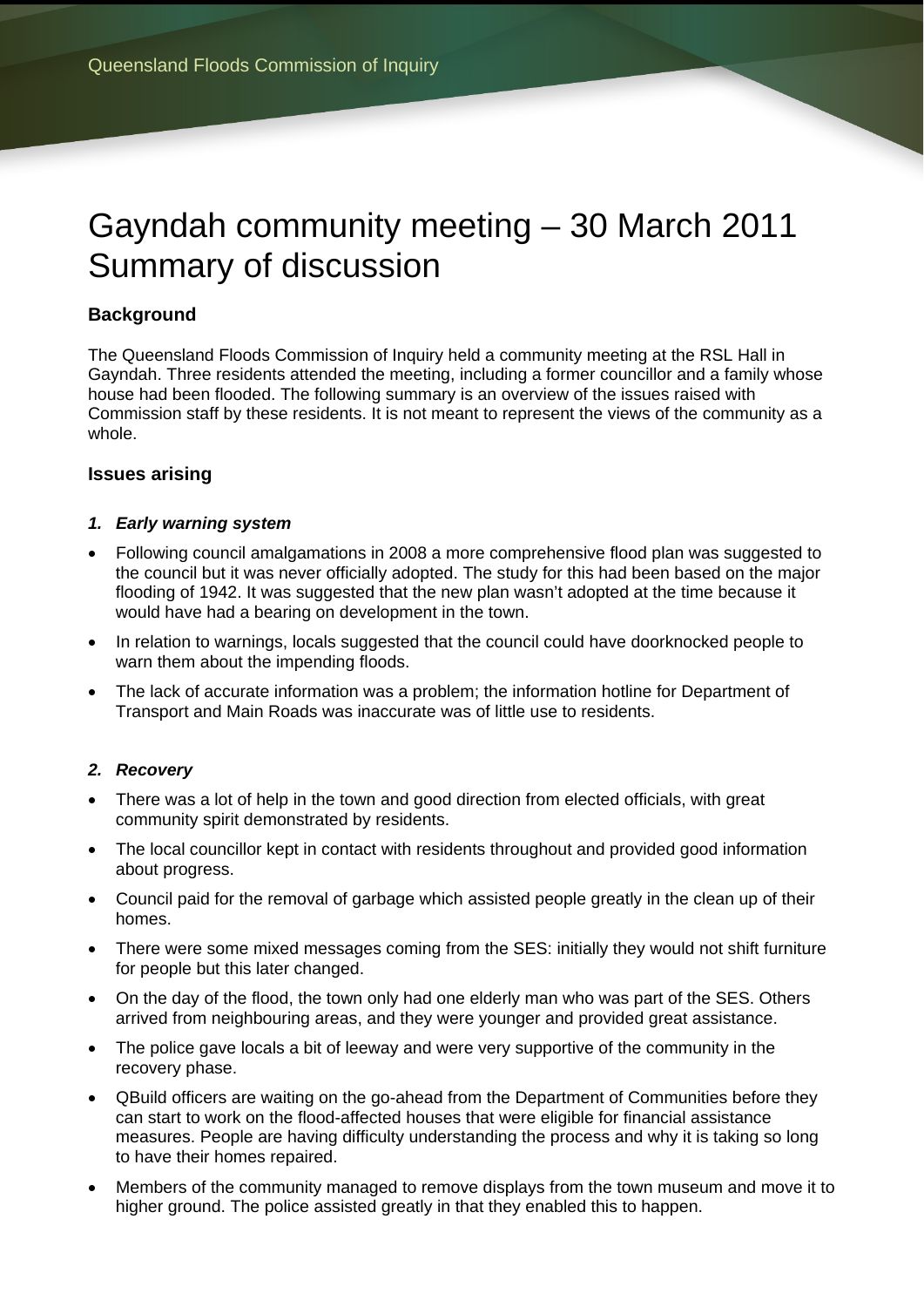# Gayndah community meeting – 30 March 2011 Summary of discussion

# **Background**

The Queensland Floods Commission of Inquiry held a community meeting at the RSL Hall in Gayndah. Three residents attended the meeting, including a former councillor and a family whose house had been flooded. The following summary is an overview of the issues raised with Commission staff by these residents. It is not meant to represent the views of the community as a whole.

## **Issues arising**

### *1. Early warning system*

- Following council amalgamations in 2008 a more comprehensive flood plan was suggested to the council but it was never officially adopted. The study for this had been based on the major flooding of 1942. It was suggested that the new plan wasn't adopted at the time because it would have had a bearing on development in the town.
- In relation to warnings, locals suggested that the council could have doorknocked people to warn them about the impending floods.
- The lack of accurate information was a problem; the information hotline for Department of Transport and Main Roads was inaccurate was of little use to residents.

### *2. Recovery*

- There was a lot of help in the town and good direction from elected officials, with great community spirit demonstrated by residents.
- The local councillor kept in contact with residents throughout and provided good information about progress.
- Council paid for the removal of garbage which assisted people greatly in the clean up of their homes.
- There were some mixed messages coming from the SES; initially they would not shift furniture for people but this later changed.
- On the day of the flood, the town only had one elderly man who was part of the SES. Others arrived from neighbouring areas, and they were younger and provided great assistance.
- The police gave locals a bit of leeway and were very supportive of the community in the recovery phase.
- QBuild officers are waiting on the go-ahead from the Department of Communities before they can start to work on the flood-affected houses that were eligible for financial assistance measures. People are having difficulty understanding the process and why it is taking so long to have their homes repaired.
- Members of the community managed to remove displays from the town museum and move it to higher ground. The police assisted greatly in that they enabled this to happen.